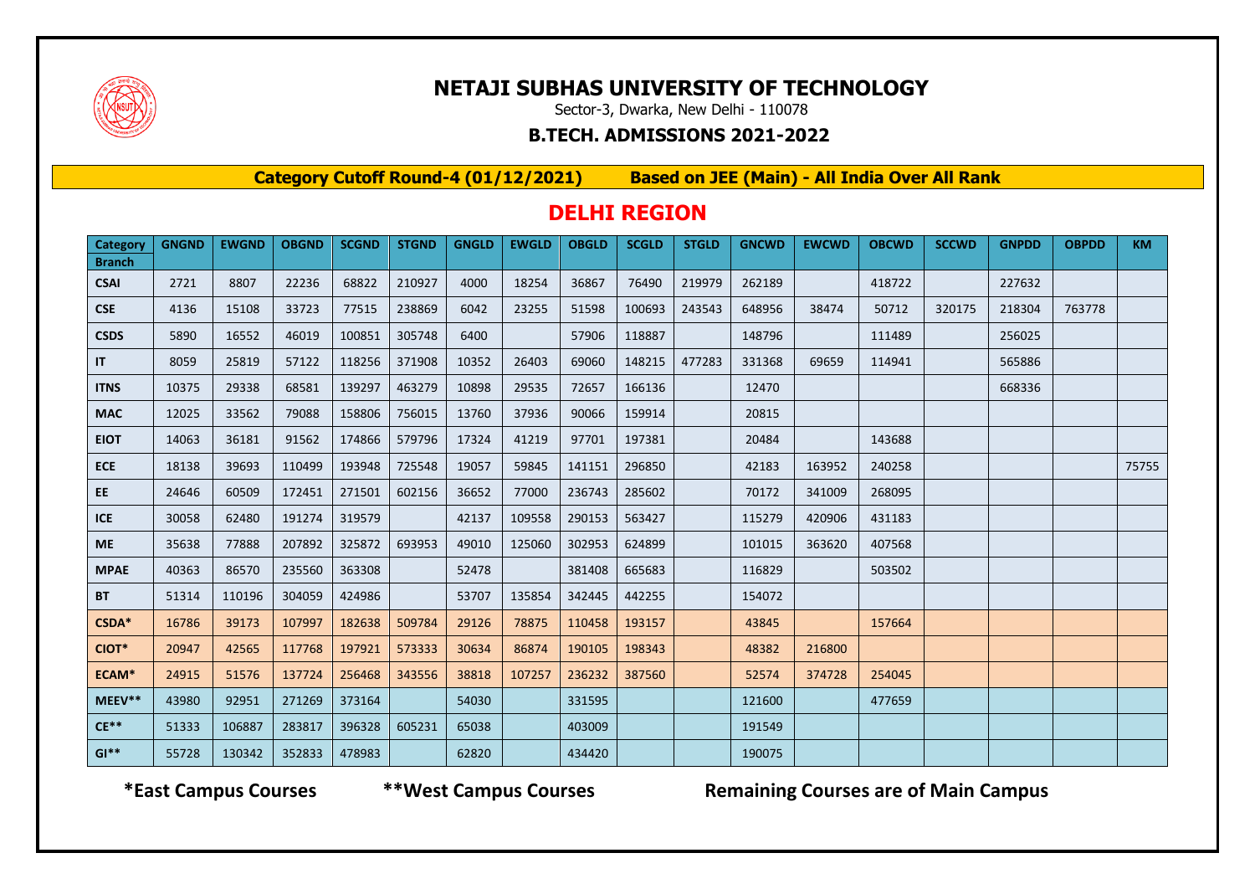

# **NETAJI SUBHAS UNIVERSITY OF TECHNOLOGY**

Sector-3, Dwarka, New Delhi - 110078

#### **B.TECH. ADMISSIONS 2021-2022**

**Category Cutoff Round-4 (01/12/2021) Based on JEE (Main) - All India Over All Rank**

## **DELHI REGION**

| Category      | <b>GNGND</b> | <b>EWGND</b> | <b>OBGND</b> | <b>SCGND</b> | <b>STGND</b> | <b>GNGLD</b> | <b>EWGLD</b> | <b>OBGLD</b> | <b>SCGLD</b> | <b>STGLD</b> | <b>GNCWD</b> | <b>EWCWD</b> | <b>OBCWD</b> | <b>SCCWD</b> | <b>GNPDD</b> | <b>OBPDD</b> | <b>KM</b> |
|---------------|--------------|--------------|--------------|--------------|--------------|--------------|--------------|--------------|--------------|--------------|--------------|--------------|--------------|--------------|--------------|--------------|-----------|
| <b>Branch</b> |              |              |              |              |              |              |              |              |              |              |              |              |              |              |              |              |           |
| <b>CSAI</b>   | 2721         | 8807         | 22236        | 68822        | 210927       | 4000         | 18254        | 36867        | 76490        | 219979       | 262189       |              | 418722       |              | 227632       |              |           |
| <b>CSE</b>    | 4136         | 15108        | 33723        | 77515        | 238869       | 6042         | 23255        | 51598        | 100693       | 243543       | 648956       | 38474        | 50712        | 320175       | 218304       | 763778       |           |
| <b>CSDS</b>   | 5890         | 16552        | 46019        | 100851       | 305748       | 6400         |              | 57906        | 118887       |              | 148796       |              | 111489       |              | 256025       |              |           |
| IT            | 8059         | 25819        | 57122        | 118256       | 371908       | 10352        | 26403        | 69060        | 148215       | 477283       | 331368       | 69659        | 114941       |              | 565886       |              |           |
| <b>ITNS</b>   | 10375        | 29338        | 68581        | 139297       | 463279       | 10898        | 29535        | 72657        | 166136       |              | 12470        |              |              |              | 668336       |              |           |
| <b>MAC</b>    | 12025        | 33562        | 79088        | 158806       | 756015       | 13760        | 37936        | 90066        | 159914       |              | 20815        |              |              |              |              |              |           |
| <b>EIOT</b>   | 14063        | 36181        | 91562        | 174866       | 579796       | 17324        | 41219        | 97701        | 197381       |              | 20484        |              | 143688       |              |              |              |           |
| <b>ECE</b>    | 18138        | 39693        | 110499       | 193948       | 725548       | 19057        | 59845        | 141151       | 296850       |              | 42183        | 163952       | 240258       |              |              |              | 75755     |
| EE.           | 24646        | 60509        | 172451       | 271501       | 602156       | 36652        | 77000        | 236743       | 285602       |              | 70172        | 341009       | 268095       |              |              |              |           |
| <b>ICE</b>    | 30058        | 62480        | 191274       | 319579       |              | 42137        | 109558       | 290153       | 563427       |              | 115279       | 420906       | 431183       |              |              |              |           |
| <b>ME</b>     | 35638        | 77888        | 207892       | 325872       | 693953       | 49010        | 125060       | 302953       | 624899       |              | 101015       | 363620       | 407568       |              |              |              |           |
| <b>MPAE</b>   | 40363        | 86570        | 235560       | 363308       |              | 52478        |              | 381408       | 665683       |              | 116829       |              | 503502       |              |              |              |           |
| <b>BT</b>     | 51314        | 110196       | 304059       | 424986       |              | 53707        | 135854       | 342445       | 442255       |              | 154072       |              |              |              |              |              |           |
| CSDA*         | 16786        | 39173        | 107997       | 182638       | 509784       | 29126        | 78875        | 110458       | 193157       |              | 43845        |              | 157664       |              |              |              |           |
| CIOT*         | 20947        | 42565        | 117768       | 197921       | 573333       | 30634        | 86874        | 190105       | 198343       |              | 48382        | 216800       |              |              |              |              |           |
| ECAM*         | 24915        | 51576        | 137724       | 256468       | 343556       | 38818        | 107257       | 236232       | 387560       |              | 52574        | 374728       | 254045       |              |              |              |           |
| MEEV**        | 43980        | 92951        | 271269       | 373164       |              | 54030        |              | 331595       |              |              | 121600       |              | 477659       |              |              |              |           |
| $CE**$        | 51333        | 106887       | 283817       | 396328       | 605231       | 65038        |              | 403009       |              |              | 191549       |              |              |              |              |              |           |
| $GI**$        | 55728        | 130342       | 352833       | 478983       |              | 62820        |              | 434420       |              |              | 190075       |              |              |              |              |              |           |

 **\*East Campus Courses \*\*West Campus Courses Remaining Courses are of Main Campus**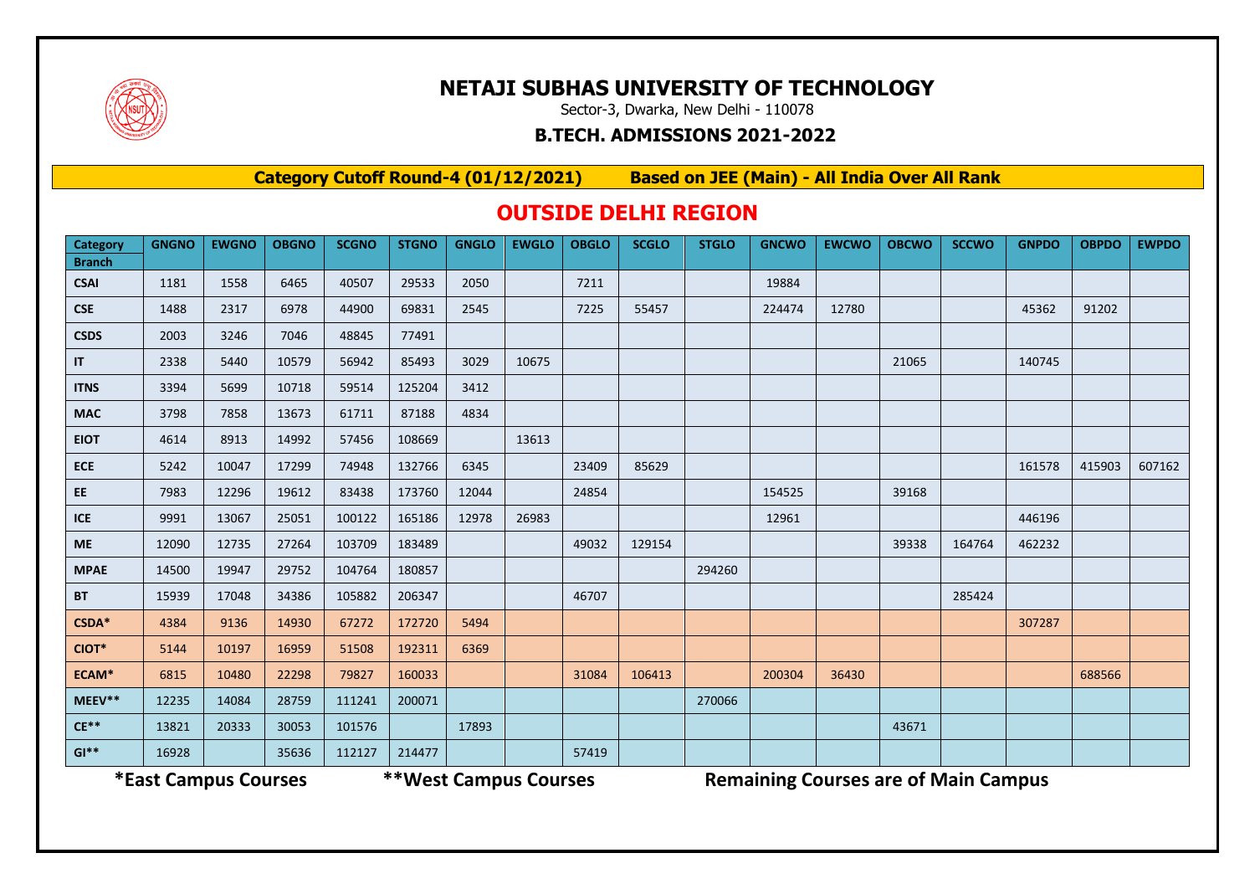

## **NETAJI SUBHAS UNIVERSITY OF TECHNOLOGY**

Sector-3, Dwarka, New Delhi - 110078

#### **B.TECH. ADMISSIONS 2021-2022**

**Category Cutoff Round-4 (01/12/2021) Based on JEE (Main) - All India Over All Rank**

### **OUTSIDE DELHI REGION**

| Category      | <b>GNGNO</b> | <b>EWGNO</b> | <b>OBGNO</b> | <b>SCGNO</b> | <b>STGNO</b> | <b>GNGLO</b> | <b>EWGLO</b> | <b>OBGLO</b> | <b>SCGLO</b> | <b>STGLO</b> | <b>GNCWO</b> | <b>EWCWO</b> | <b>OBCWO</b> | <b>SCCWO</b> | <b>GNPDO</b> | <b>OBPDO</b> | <b>EWPDO</b> |
|---------------|--------------|--------------|--------------|--------------|--------------|--------------|--------------|--------------|--------------|--------------|--------------|--------------|--------------|--------------|--------------|--------------|--------------|
| <b>Branch</b> |              |              |              |              |              |              |              |              |              |              |              |              |              |              |              |              |              |
| <b>CSAI</b>   | 1181         | 1558         | 6465         | 40507        | 29533        | 2050         |              | 7211         |              |              | 19884        |              |              |              |              |              |              |
| <b>CSE</b>    | 1488         | 2317         | 6978         | 44900        | 69831        | 2545         |              | 7225         | 55457        |              | 224474       | 12780        |              |              | 45362        | 91202        |              |
| <b>CSDS</b>   | 2003         | 3246         | 7046         | 48845        | 77491        |              |              |              |              |              |              |              |              |              |              |              |              |
| IT.           | 2338         | 5440         | 10579        | 56942        | 85493        | 3029         | 10675        |              |              |              |              |              | 21065        |              | 140745       |              |              |
| <b>ITNS</b>   | 3394         | 5699         | 10718        | 59514        | 125204       | 3412         |              |              |              |              |              |              |              |              |              |              |              |
| <b>MAC</b>    | 3798         | 7858         | 13673        | 61711        | 87188        | 4834         |              |              |              |              |              |              |              |              |              |              |              |
| <b>EIOT</b>   | 4614         | 8913         | 14992        | 57456        | 108669       |              | 13613        |              |              |              |              |              |              |              |              |              |              |
| <b>ECE</b>    | 5242         | 10047        | 17299        | 74948        | 132766       | 6345         |              | 23409        | 85629        |              |              |              |              |              | 161578       | 415903       | 607162       |
| EE.           | 7983         | 12296        | 19612        | 83438        | 173760       | 12044        |              | 24854        |              |              | 154525       |              | 39168        |              |              |              |              |
| <b>ICE</b>    | 9991         | 13067        | 25051        | 100122       | 165186       | 12978        | 26983        |              |              |              | 12961        |              |              |              | 446196       |              |              |
| <b>ME</b>     | 12090        | 12735        | 27264        | 103709       | 183489       |              |              | 49032        | 129154       |              |              |              | 39338        | 164764       | 462232       |              |              |
| <b>MPAE</b>   | 14500        | 19947        | 29752        | 104764       | 180857       |              |              |              |              | 294260       |              |              |              |              |              |              |              |
| <b>BT</b>     | 15939        | 17048        | 34386        | 105882       | 206347       |              |              | 46707        |              |              |              |              |              | 285424       |              |              |              |
| CSDA*         | 4384         | 9136         | 14930        | 67272        | 172720       | 5494         |              |              |              |              |              |              |              |              | 307287       |              |              |
| CIOT*         | 5144         | 10197        | 16959        | 51508        | 192311       | 6369         |              |              |              |              |              |              |              |              |              |              |              |
| ECAM*         | 6815         | 10480        | 22298        | 79827        | 160033       |              |              | 31084        | 106413       |              | 200304       | 36430        |              |              |              | 688566       |              |
| MEEV**        | 12235        | 14084        | 28759        | 111241       | 200071       |              |              |              |              | 270066       |              |              |              |              |              |              |              |
| $CE**$        | 13821        | 20333        | 30053        | 101576       |              | 17893        |              |              |              |              |              |              | 43671        |              |              |              |              |
| $GI**$        | 16928        |              | 35636        | 112127       | 214477       |              |              | 57419        |              |              |              |              |              |              |              |              |              |

**\*East Campus Courses \*\*West Campus Courses Remaining Courses are of Main Campus**